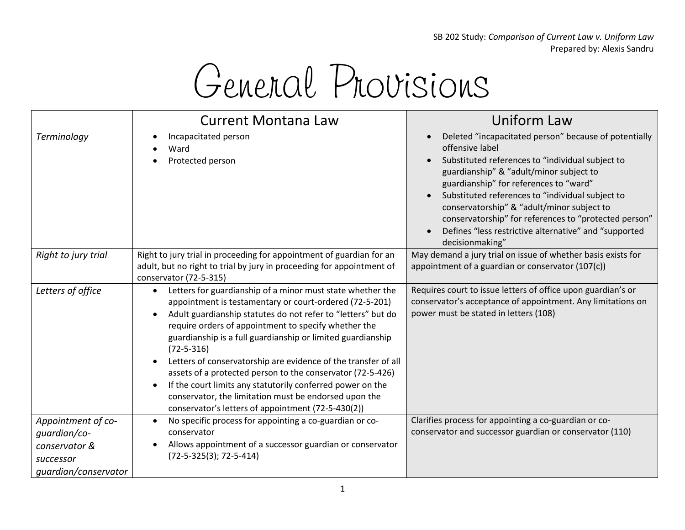SB 202 Study: *Comparison of Current Law v. Uniform Law* Prepared by: Alexis Sandru

## General Provisions

|                                                                                          | <b>Current Montana Law</b>                                                                                                                                                                                                                                                                                                                                                                                                                                                                                                                                                                                                                    | Uniform Law                                                                                                                                                                                                                                                                                                                                                                                                                                                                        |
|------------------------------------------------------------------------------------------|-----------------------------------------------------------------------------------------------------------------------------------------------------------------------------------------------------------------------------------------------------------------------------------------------------------------------------------------------------------------------------------------------------------------------------------------------------------------------------------------------------------------------------------------------------------------------------------------------------------------------------------------------|------------------------------------------------------------------------------------------------------------------------------------------------------------------------------------------------------------------------------------------------------------------------------------------------------------------------------------------------------------------------------------------------------------------------------------------------------------------------------------|
| Terminology                                                                              | Incapacitated person<br>Ward<br>Protected person                                                                                                                                                                                                                                                                                                                                                                                                                                                                                                                                                                                              | Deleted "incapacitated person" because of potentially<br>$\bullet$<br>offensive label<br>Substituted references to "individual subject to<br>guardianship" & "adult/minor subject to<br>guardianship" for references to "ward"<br>Substituted references to "individual subject to<br>conservatorship" & "adult/minor subject to<br>conservatorship" for references to "protected person"<br>Defines "less restrictive alternative" and "supported<br>$\bullet$<br>decisionmaking" |
| Right to jury trial                                                                      | Right to jury trial in proceeding for appointment of guardian for an<br>adult, but no right to trial by jury in proceeding for appointment of<br>conservator (72-5-315)                                                                                                                                                                                                                                                                                                                                                                                                                                                                       | May demand a jury trial on issue of whether basis exists for<br>appointment of a guardian or conservator (107(c))                                                                                                                                                                                                                                                                                                                                                                  |
| Letters of office                                                                        | Letters for guardianship of a minor must state whether the<br>appointment is testamentary or court-ordered (72-5-201)<br>Adult guardianship statutes do not refer to "letters" but do<br>require orders of appointment to specify whether the<br>guardianship is a full guardianship or limited guardianship<br>$(72 - 5 - 316)$<br>Letters of conservatorship are evidence of the transfer of all<br>assets of a protected person to the conservator (72-5-426)<br>If the court limits any statutorily conferred power on the<br>conservator, the limitation must be endorsed upon the<br>conservator's letters of appointment (72-5-430(2)) | Requires court to issue letters of office upon guardian's or<br>conservator's acceptance of appointment. Any limitations on<br>power must be stated in letters (108)                                                                                                                                                                                                                                                                                                               |
| Appointment of co-<br>guardian/co-<br>conservator &<br>successor<br>quardian/conservator | No specific process for appointing a co-guardian or co-<br>$\bullet$<br>conservator<br>Allows appointment of a successor guardian or conservator<br>$(72-5-325(3); 72-5-414)$                                                                                                                                                                                                                                                                                                                                                                                                                                                                 | Clarifies process for appointing a co-guardian or co-<br>conservator and successor guardian or conservator (110)                                                                                                                                                                                                                                                                                                                                                                   |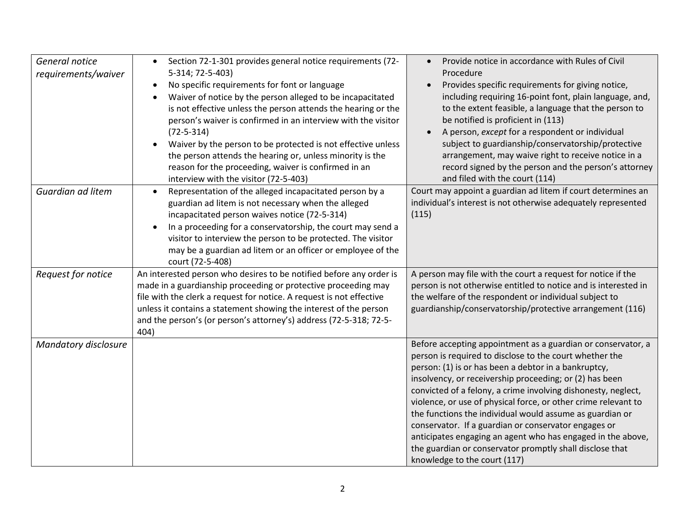| General notice<br>requirements/waiver | Section 72-1-301 provides general notice requirements (72-<br>$\bullet$<br>5-314; 72-5-403)<br>No specific requirements for font or language<br>Waiver of notice by the person alleged to be incapacitated<br>is not effective unless the person attends the hearing or the<br>person's waiver is confirmed in an interview with the visitor<br>$(72 - 5 - 314)$<br>Waiver by the person to be protected is not effective unless<br>the person attends the hearing or, unless minority is the<br>reason for the proceeding, waiver is confirmed in an<br>interview with the visitor (72-5-403) | Provide notice in accordance with Rules of Civil<br>Procedure<br>Provides specific requirements for giving notice,<br>including requiring 16-point font, plain language, and,<br>to the extent feasible, a language that the person to<br>be notified is proficient in (113)<br>A person, except for a respondent or individual<br>$\bullet$<br>subject to guardianship/conservatorship/protective<br>arrangement, may waive right to receive notice in a<br>record signed by the person and the person's attorney<br>and filed with the court (114)                                                                                                         |
|---------------------------------------|------------------------------------------------------------------------------------------------------------------------------------------------------------------------------------------------------------------------------------------------------------------------------------------------------------------------------------------------------------------------------------------------------------------------------------------------------------------------------------------------------------------------------------------------------------------------------------------------|--------------------------------------------------------------------------------------------------------------------------------------------------------------------------------------------------------------------------------------------------------------------------------------------------------------------------------------------------------------------------------------------------------------------------------------------------------------------------------------------------------------------------------------------------------------------------------------------------------------------------------------------------------------|
| Guardian ad litem                     | Representation of the alleged incapacitated person by a<br>$\bullet$<br>guardian ad litem is not necessary when the alleged<br>incapacitated person waives notice (72-5-314)<br>In a proceeding for a conservatorship, the court may send a<br>$\bullet$<br>visitor to interview the person to be protected. The visitor<br>may be a guardian ad litem or an officer or employee of the<br>court (72-5-408)                                                                                                                                                                                    | Court may appoint a guardian ad litem if court determines an<br>individual's interest is not otherwise adequately represented<br>(115)                                                                                                                                                                                                                                                                                                                                                                                                                                                                                                                       |
| Request for notice                    | An interested person who desires to be notified before any order is<br>made in a guardianship proceeding or protective proceeding may<br>file with the clerk a request for notice. A request is not effective<br>unless it contains a statement showing the interest of the person<br>and the person's (or person's attorney's) address (72-5-318; 72-5-<br>404)                                                                                                                                                                                                                               | A person may file with the court a request for notice if the<br>person is not otherwise entitled to notice and is interested in<br>the welfare of the respondent or individual subject to<br>guardianship/conservatorship/protective arrangement (116)                                                                                                                                                                                                                                                                                                                                                                                                       |
| <b>Mandatory disclosure</b>           |                                                                                                                                                                                                                                                                                                                                                                                                                                                                                                                                                                                                | Before accepting appointment as a guardian or conservator, a<br>person is required to disclose to the court whether the<br>person: (1) is or has been a debtor in a bankruptcy,<br>insolvency, or receivership proceeding; or (2) has been<br>convicted of a felony, a crime involving dishonesty, neglect,<br>violence, or use of physical force, or other crime relevant to<br>the functions the individual would assume as guardian or<br>conservator. If a guardian or conservator engages or<br>anticipates engaging an agent who has engaged in the above,<br>the guardian or conservator promptly shall disclose that<br>knowledge to the court (117) |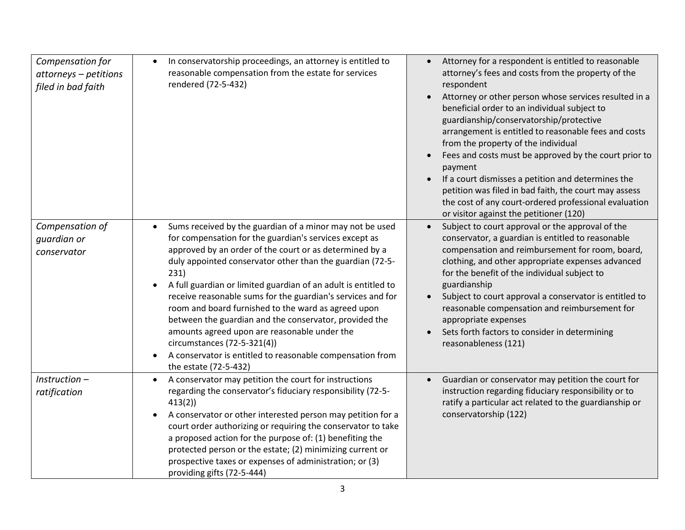| Compensation for<br>attorneys - petitions<br>filed in bad faith | In conservatorship proceedings, an attorney is entitled to<br>$\bullet$<br>reasonable compensation from the estate for services<br>rendered (72-5-432)                                                                                                                                                                                                                                                                                                                                                                                                                                                                                                                                              | Attorney for a respondent is entitled to reasonable<br>$\bullet$<br>attorney's fees and costs from the property of the<br>respondent<br>Attorney or other person whose services resulted in a<br>beneficial order to an individual subject to<br>guardianship/conservatorship/protective<br>arrangement is entitled to reasonable fees and costs<br>from the property of the individual<br>Fees and costs must be approved by the court prior to<br>$\bullet$<br>payment<br>If a court dismisses a petition and determines the<br>$\bullet$<br>petition was filed in bad faith, the court may assess<br>the cost of any court-ordered professional evaluation<br>or visitor against the petitioner (120) |
|-----------------------------------------------------------------|-----------------------------------------------------------------------------------------------------------------------------------------------------------------------------------------------------------------------------------------------------------------------------------------------------------------------------------------------------------------------------------------------------------------------------------------------------------------------------------------------------------------------------------------------------------------------------------------------------------------------------------------------------------------------------------------------------|----------------------------------------------------------------------------------------------------------------------------------------------------------------------------------------------------------------------------------------------------------------------------------------------------------------------------------------------------------------------------------------------------------------------------------------------------------------------------------------------------------------------------------------------------------------------------------------------------------------------------------------------------------------------------------------------------------|
| Compensation of<br>guardian or<br>conservator                   | Sums received by the guardian of a minor may not be used<br>$\bullet$<br>for compensation for the guardian's services except as<br>approved by an order of the court or as determined by a<br>duly appointed conservator other than the guardian (72-5-<br>231)<br>A full guardian or limited guardian of an adult is entitled to<br>receive reasonable sums for the guardian's services and for<br>room and board furnished to the ward as agreed upon<br>between the guardian and the conservator, provided the<br>amounts agreed upon are reasonable under the<br>circumstances (72-5-321(4))<br>A conservator is entitled to reasonable compensation from<br>$\bullet$<br>the estate (72-5-432) | Subject to court approval or the approval of the<br>$\bullet$<br>conservator, a guardian is entitled to reasonable<br>compensation and reimbursement for room, board,<br>clothing, and other appropriate expenses advanced<br>for the benefit of the individual subject to<br>guardianship<br>Subject to court approval a conservator is entitled to<br>reasonable compensation and reimbursement for<br>appropriate expenses<br>Sets forth factors to consider in determining<br>reasonableness (121)                                                                                                                                                                                                   |
| Instruction-<br>ratification                                    | A conservator may petition the court for instructions<br>$\bullet$<br>regarding the conservator's fiduciary responsibility (72-5-<br>413(2)<br>A conservator or other interested person may petition for a<br>$\bullet$<br>court order authorizing or requiring the conservator to take<br>a proposed action for the purpose of: (1) benefiting the<br>protected person or the estate; (2) minimizing current or<br>prospective taxes or expenses of administration; or (3)<br>providing gifts (72-5-444)                                                                                                                                                                                           | Guardian or conservator may petition the court for<br>$\bullet$<br>instruction regarding fiduciary responsibility or to<br>ratify a particular act related to the guardianship or<br>conservatorship (122)                                                                                                                                                                                                                                                                                                                                                                                                                                                                                               |